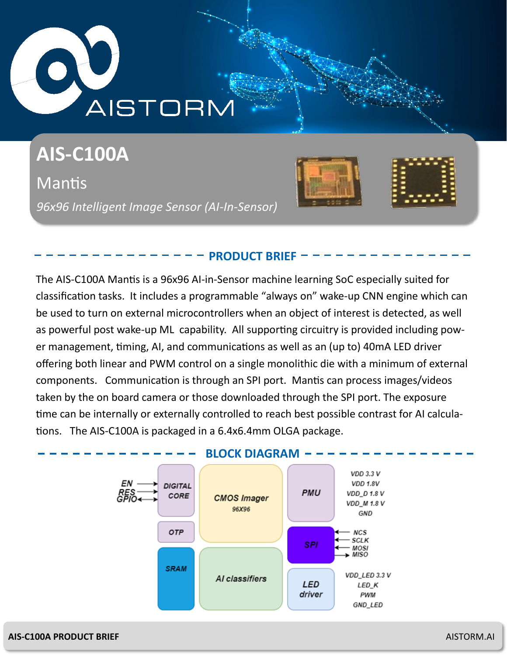# **AISTORN**

# **AIS-C100A**

Mantis *96x96 Intelligent Image Sensor (AI-In-Sensor)*



# **PRODUCT BRIEF**

The AIS-C100A Mantis is a 96x96 AI-in-Sensor machine learning SoC especially suited for classification tasks. It includes a programmable "always on" wake-up CNN engine which can be used to turn on external microcontrollers when an object of interest is detected, as well as powerful post wake-up ML capability. All supporting circuitry is provided including power management, timing, AI, and communications as well as an (up to) 40mA LED driver offering both linear and PWM control on a single monolithic die with a minimum of external components. Communication is through an SPI port. Mantis can process images/videos taken by the on board camera or those downloaded through the SPI port. The exposure time can be internally or externally controlled to reach best possible contrast for AI calculations. The AIS-C100A is packaged in a 6.4x6.4mm OLGA package.



## **AIS-C100A PRODUCT BRIEF** AISTORM.AI